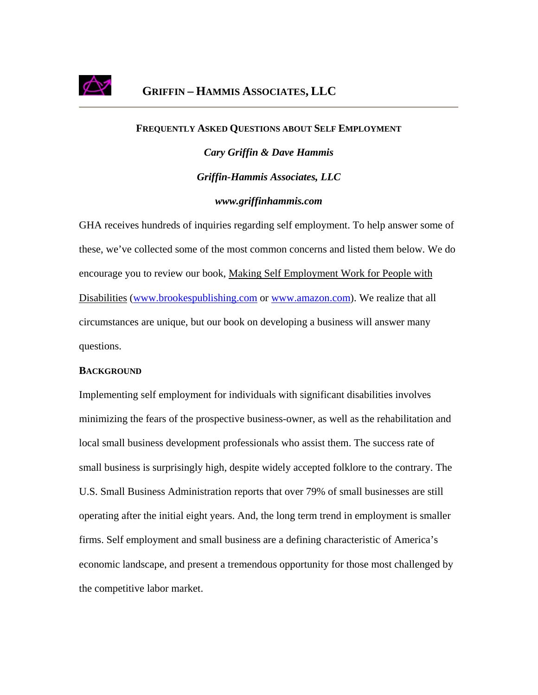

## **FREQUENTLY ASKED QUESTIONS ABOUT SELF EMPLOYMENT**

*Cary Griffin & Dave Hammis Griffin-Hammis Associates, LLC www.griffinhammis.com*

GHA receives hundreds of inquiries regarding self employment. To help answer some of these, we've collected some of the most common concerns and listed them below. We do encourage you to review our book, Making Self Employment Work for People with Disabilities ([www.brookespublishing.com](http://www.brookespublishing.com/) or [www.amazon.com\)](http://www.amazon.com/). We realize that all circumstances are unique, but our book on developing a business will answer many questions.

## **BACKGROUND**

Implementing self employment for individuals with significant disabilities involves minimizing the fears of the prospective business-owner, as well as the rehabilitation and local small business development professionals who assist them. The success rate of small business is surprisingly high, despite widely accepted folklore to the contrary. The U.S. Small Business Administration reports that over 79% of small businesses are still operating after the initial eight years. And, the long term trend in employment is smaller firms. Self employment and small business are a defining characteristic of America's economic landscape, and present a tremendous opportunity for those most challenged by the competitive labor market.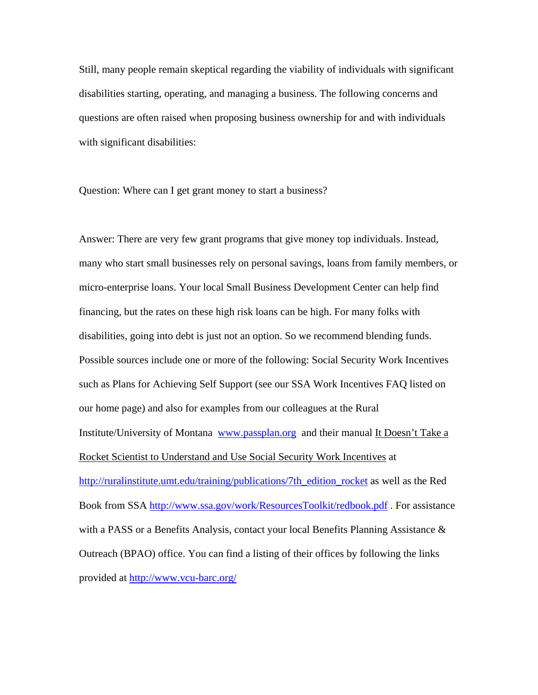Still, many people remain skeptical regarding the viability of individuals with significant disabilities starting, operating, and managing a business. The following concerns and questions are often raised when proposing business ownership for and with individuals with significant disabilities:

Question: Where can I get grant money to start a business?

Answer: There are very few grant programs that give money top individuals. Instead, many who start small businesses rely on personal savings, loans from family members, or micro-enterprise loans. Your local Small Business Development Center can help find financing, but the rates on these high risk loans can be high. For many folks with disabilities, going into debt is just not an option. So we recommend blending funds. Possible sources include one or more of the following: Social Security Work Incentives such as Plans for Achieving Self Support (see our SSA Work Incentives FAQ listed on our home page) and also for examples from our colleagues at the Rural Institute/University of Montana [www.passplan.org](http://www.passplan.org/) and their manual It Doesn't Take a Rocket Scientist to Understand and Use Social Security Work Incentives at [http://ruralinstitute.umt.edu/training/publications/7th\\_edition\\_rocket](http://ruralinstitute.umt.edu/training/publications/7th_edition_rocket) as well as the Red Book from SSA<http://www.ssa.gov/work/ResourcesToolkit/redbook.pdf> . For assistance with a PASS or a Benefits Analysis, contact your local Benefits Planning Assistance & Outreach (BPAO) office. You can find a listing of their offices by following the links provided at<http://www.vcu-barc.org/>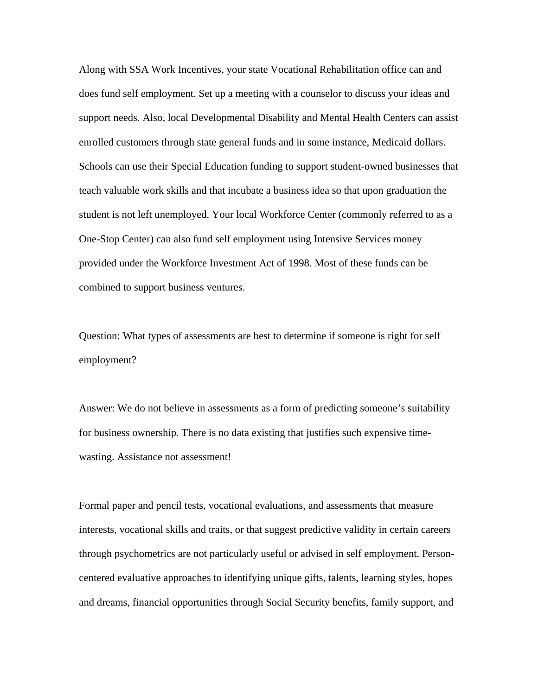Along with SSA Work Incentives, your state Vocational Rehabilitation office can and does fund self employment. Set up a meeting with a counselor to discuss your ideas and support needs. Also, local Developmental Disability and Mental Health Centers can assist enrolled customers through state general funds and in some instance, Medicaid dollars. Schools can use their Special Education funding to support student-owned businesses that teach valuable work skills and that incubate a business idea so that upon graduation the student is not left unemployed. Your local Workforce Center (commonly referred to as a One-Stop Center) can also fund self employment using Intensive Services money provided under the Workforce Investment Act of 1998. Most of these funds can be combined to support business ventures.

Question: What types of assessments are best to determine if someone is right for self employment?

Answer: We do not believe in assessments as a form of predicting someone's suitability for business ownership. There is no data existing that justifies such expensive timewasting. Assistance not assessment!

Formal paper and pencil tests, vocational evaluations, and assessments that measure interests, vocational skills and traits, or that suggest predictive validity in certain careers through psychometrics are not particularly useful or advised in self employment. Personcentered evaluative approaches to identifying unique gifts, talents, learning styles, hopes and dreams, financial opportunities through Social Security benefits, family support, and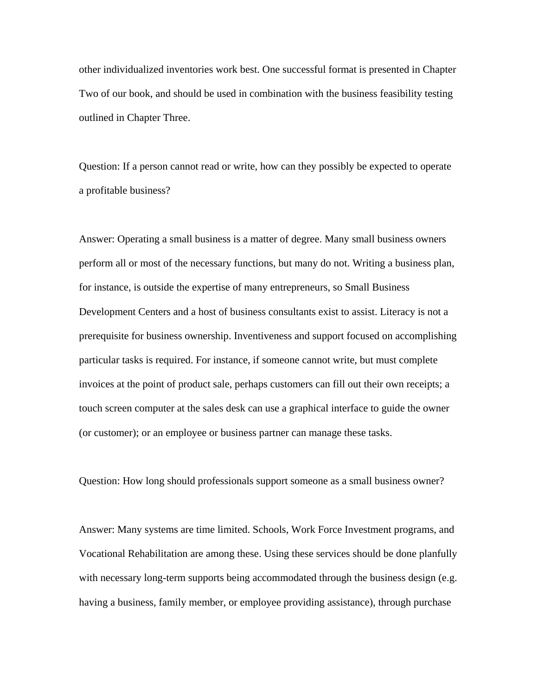other individualized inventories work best. One successful format is presented in Chapter Two of our book, and should be used in combination with the business feasibility testing outlined in Chapter Three.

Question: If a person cannot read or write, how can they possibly be expected to operate a profitable business?

Answer: Operating a small business is a matter of degree. Many small business owners perform all or most of the necessary functions, but many do not. Writing a business plan, for instance, is outside the expertise of many entrepreneurs, so Small Business Development Centers and a host of business consultants exist to assist. Literacy is not a prerequisite for business ownership. Inventiveness and support focused on accomplishing particular tasks is required. For instance, if someone cannot write, but must complete invoices at the point of product sale, perhaps customers can fill out their own receipts; a touch screen computer at the sales desk can use a graphical interface to guide the owner (or customer); or an employee or business partner can manage these tasks.

Question: How long should professionals support someone as a small business owner?

Answer: Many systems are time limited. Schools, Work Force Investment programs, and Vocational Rehabilitation are among these. Using these services should be done planfully with necessary long-term supports being accommodated through the business design (e.g. having a business, family member, or employee providing assistance), through purchase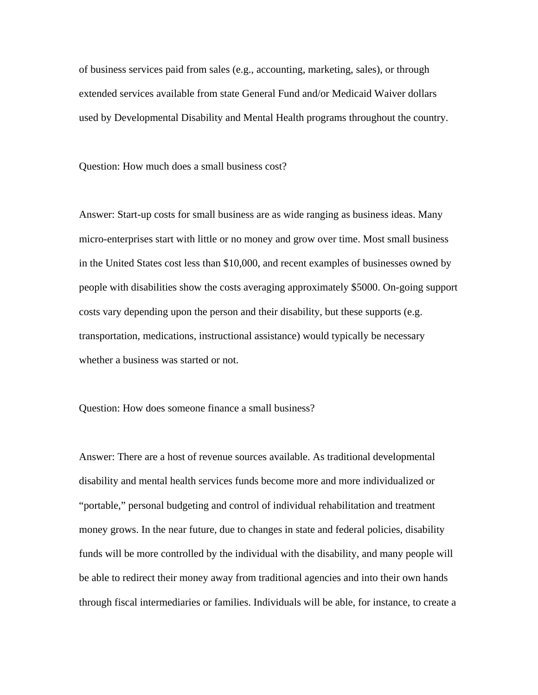of business services paid from sales (e.g., accounting, marketing, sales), or through extended services available from state General Fund and/or Medicaid Waiver dollars used by Developmental Disability and Mental Health programs throughout the country.

Question: How much does a small business cost?

Answer: Start-up costs for small business are as wide ranging as business ideas. Many micro-enterprises start with little or no money and grow over time. Most small business in the United States cost less than \$10,000, and recent examples of businesses owned by people with disabilities show the costs averaging approximately \$5000. On-going support costs vary depending upon the person and their disability, but these supports (e.g. transportation, medications, instructional assistance) would typically be necessary whether a business was started or not.

Question: How does someone finance a small business?

Answer: There are a host of revenue sources available. As traditional developmental disability and mental health services funds become more and more individualized or "portable," personal budgeting and control of individual rehabilitation and treatment money grows. In the near future, due to changes in state and federal policies, disability funds will be more controlled by the individual with the disability, and many people will be able to redirect their money away from traditional agencies and into their own hands through fiscal intermediaries or families. Individuals will be able, for instance, to create a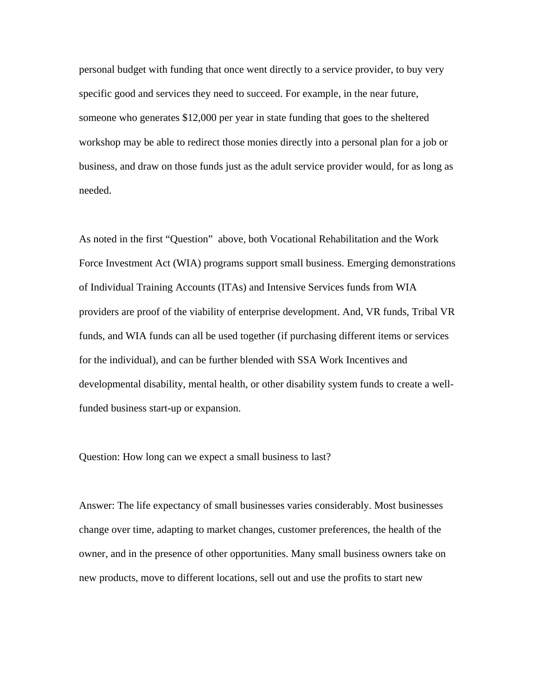personal budget with funding that once went directly to a service provider, to buy very specific good and services they need to succeed. For example, in the near future, someone who generates \$12,000 per year in state funding that goes to the sheltered workshop may be able to redirect those monies directly into a personal plan for a job or business, and draw on those funds just as the adult service provider would, for as long as needed.

As noted in the first "Question" above, both Vocational Rehabilitation and the Work Force Investment Act (WIA) programs support small business. Emerging demonstrations of Individual Training Accounts (ITAs) and Intensive Services funds from WIA providers are proof of the viability of enterprise development. And, VR funds, Tribal VR funds, and WIA funds can all be used together (if purchasing different items or services for the individual), and can be further blended with SSA Work Incentives and developmental disability, mental health, or other disability system funds to create a wellfunded business start-up or expansion.

## Question: How long can we expect a small business to last?

Answer: The life expectancy of small businesses varies considerably. Most businesses change over time, adapting to market changes, customer preferences, the health of the owner, and in the presence of other opportunities. Many small business owners take on new products, move to different locations, sell out and use the profits to start new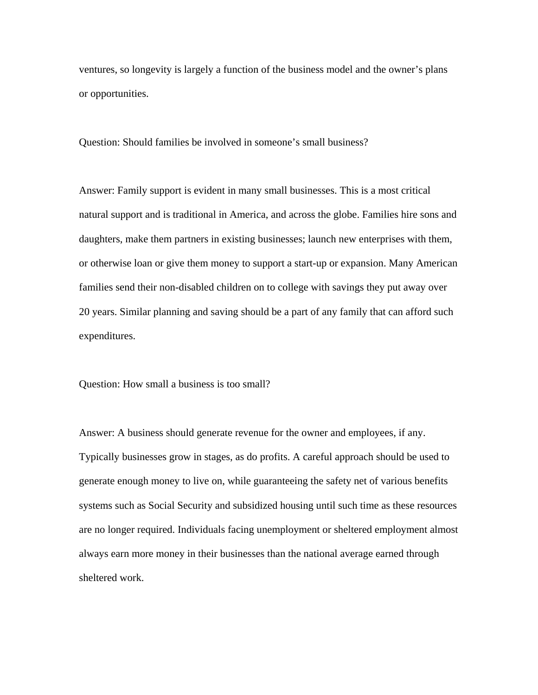ventures, so longevity is largely a function of the business model and the owner's plans or opportunities.

Question: Should families be involved in someone's small business?

Answer: Family support is evident in many small businesses. This is a most critical natural support and is traditional in America, and across the globe. Families hire sons and daughters, make them partners in existing businesses; launch new enterprises with them, or otherwise loan or give them money to support a start-up or expansion. Many American families send their non-disabled children on to college with savings they put away over 20 years. Similar planning and saving should be a part of any family that can afford such expenditures.

Question: How small a business is too small?

Answer: A business should generate revenue for the owner and employees, if any. Typically businesses grow in stages, as do profits. A careful approach should be used to generate enough money to live on, while guaranteeing the safety net of various benefits systems such as Social Security and subsidized housing until such time as these resources are no longer required. Individuals facing unemployment or sheltered employment almost always earn more money in their businesses than the national average earned through sheltered work.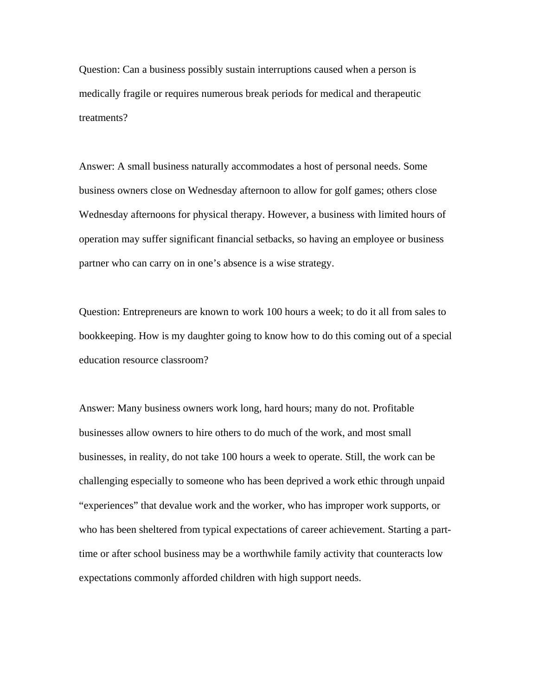Question: Can a business possibly sustain interruptions caused when a person is medically fragile or requires numerous break periods for medical and therapeutic treatments?

Answer: A small business naturally accommodates a host of personal needs. Some business owners close on Wednesday afternoon to allow for golf games; others close Wednesday afternoons for physical therapy. However, a business with limited hours of operation may suffer significant financial setbacks, so having an employee or business partner who can carry on in one's absence is a wise strategy.

Question: Entrepreneurs are known to work 100 hours a week; to do it all from sales to bookkeeping. How is my daughter going to know how to do this coming out of a special education resource classroom?

Answer: Many business owners work long, hard hours; many do not. Profitable businesses allow owners to hire others to do much of the work, and most small businesses, in reality, do not take 100 hours a week to operate. Still, the work can be challenging especially to someone who has been deprived a work ethic through unpaid "experiences" that devalue work and the worker, who has improper work supports, or who has been sheltered from typical expectations of career achievement. Starting a parttime or after school business may be a worthwhile family activity that counteracts low expectations commonly afforded children with high support needs.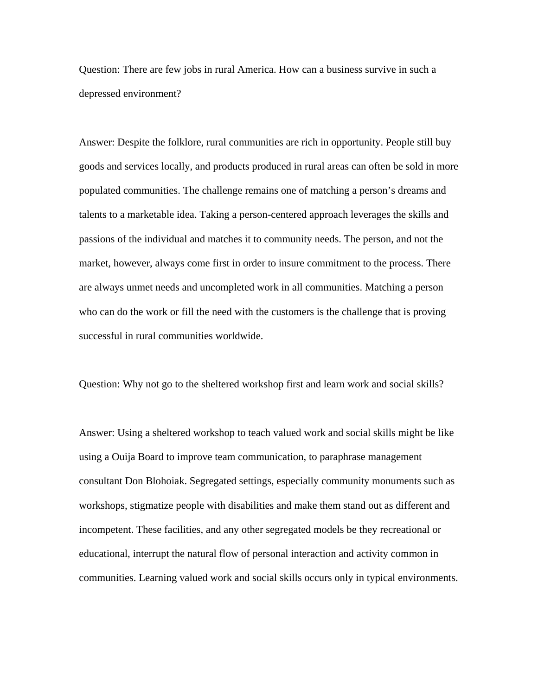Question: There are few jobs in rural America. How can a business survive in such a depressed environment?

Answer: Despite the folklore, rural communities are rich in opportunity. People still buy goods and services locally, and products produced in rural areas can often be sold in more populated communities. The challenge remains one of matching a person's dreams and talents to a marketable idea. Taking a person-centered approach leverages the skills and passions of the individual and matches it to community needs. The person, and not the market, however, always come first in order to insure commitment to the process. There are always unmet needs and uncompleted work in all communities. Matching a person who can do the work or fill the need with the customers is the challenge that is proving successful in rural communities worldwide.

Question: Why not go to the sheltered workshop first and learn work and social skills?

Answer: Using a sheltered workshop to teach valued work and social skills might be like using a Ouija Board to improve team communication, to paraphrase management consultant Don Blohoiak. Segregated settings, especially community monuments such as workshops, stigmatize people with disabilities and make them stand out as different and incompetent. These facilities, and any other segregated models be they recreational or educational, interrupt the natural flow of personal interaction and activity common in communities. Learning valued work and social skills occurs only in typical environments.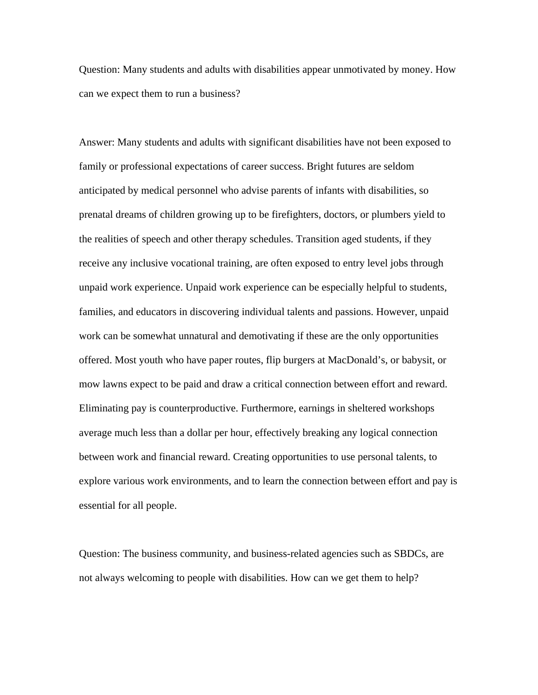Question: Many students and adults with disabilities appear unmotivated by money. How can we expect them to run a business?

Answer: Many students and adults with significant disabilities have not been exposed to family or professional expectations of career success. Bright futures are seldom anticipated by medical personnel who advise parents of infants with disabilities, so prenatal dreams of children growing up to be firefighters, doctors, or plumbers yield to the realities of speech and other therapy schedules. Transition aged students, if they receive any inclusive vocational training, are often exposed to entry level jobs through unpaid work experience. Unpaid work experience can be especially helpful to students, families, and educators in discovering individual talents and passions. However, unpaid work can be somewhat unnatural and demotivating if these are the only opportunities offered. Most youth who have paper routes, flip burgers at MacDonald's, or babysit, or mow lawns expect to be paid and draw a critical connection between effort and reward. Eliminating pay is counterproductive. Furthermore, earnings in sheltered workshops average much less than a dollar per hour, effectively breaking any logical connection between work and financial reward. Creating opportunities to use personal talents, to explore various work environments, and to learn the connection between effort and pay is essential for all people.

Question: The business community, and business-related agencies such as SBDCs, are not always welcoming to people with disabilities. How can we get them to help?